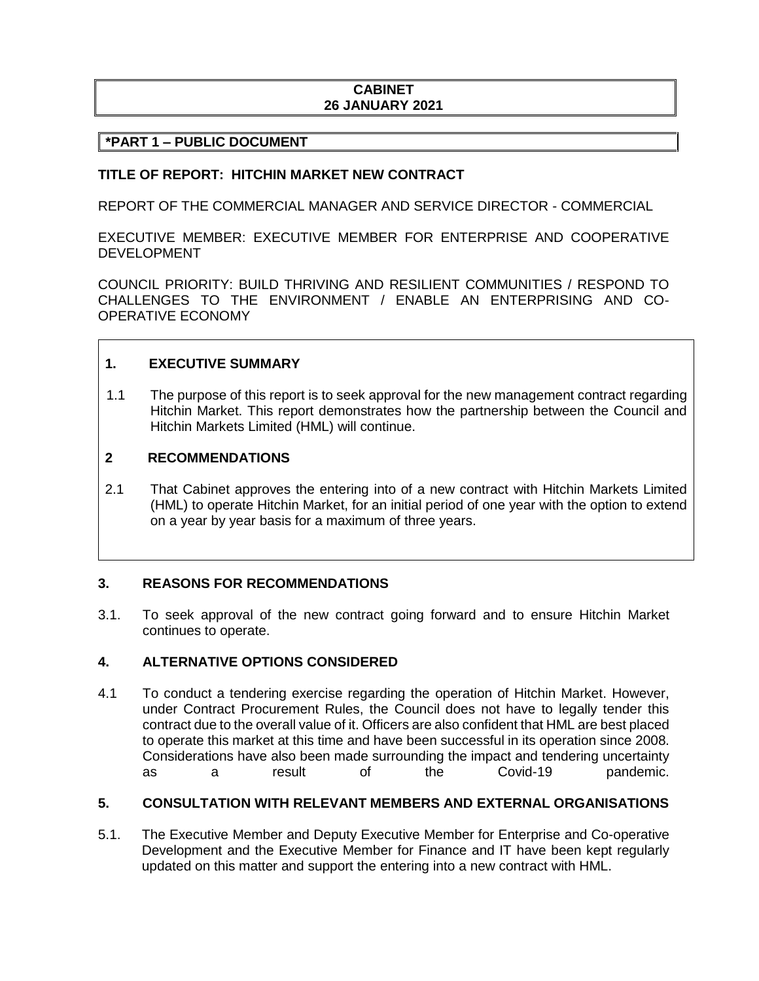# **CABINET 26 JANUARY 2021**

### **\*PART 1 – PUBLIC DOCUMENT**

#### **TITLE OF REPORT: HITCHIN MARKET NEW CONTRACT**

REPORT OF THE COMMERCIAL MANAGER AND SERVICE DIRECTOR - COMMERCIAL

EXECUTIVE MEMBER: EXECUTIVE MEMBER FOR ENTERPRISE AND COOPERATIVE DEVELOPMENT

COUNCIL PRIORITY: BUILD THRIVING AND RESILIENT COMMUNITIES / RESPOND TO CHALLENGES TO THE ENVIRONMENT / ENABLE AN ENTERPRISING AND CO-OPERATIVE ECONOMY

### **1. EXECUTIVE SUMMARY**

1.1 The purpose of this report is to seek approval for the new management contract regarding Hitchin Market. This report demonstrates how the partnership between the Council and Hitchin Markets Limited (HML) will continue.

#### **2 RECOMMENDATIONS**

2.1 That Cabinet approves the entering into of a new contract with Hitchin Markets Limited (HML) to operate Hitchin Market, for an initial period of one year with the option to extend on a year by year basis for a maximum of three years.

#### **3. REASONS FOR RECOMMENDATIONS**

3.1. To seek approval of the new contract going forward and to ensure Hitchin Market continues to operate.

#### **4. ALTERNATIVE OPTIONS CONSIDERED**

4.1 To conduct a tendering exercise regarding the operation of Hitchin Market. However, under Contract Procurement Rules, the Council does not have to legally tender this contract due to the overall value of it. Officers are also confident that HML are best placed to operate this market at this time and have been successful in its operation since 2008. Considerations have also been made surrounding the impact and tendering uncertainty as a result of the Covid-19 pandemic.

## **5. CONSULTATION WITH RELEVANT MEMBERS AND EXTERNAL ORGANISATIONS**

5.1. The Executive Member and Deputy Executive Member for Enterprise and Co-operative Development and the Executive Member for Finance and IT have been kept regularly updated on this matter and support the entering into a new contract with HML.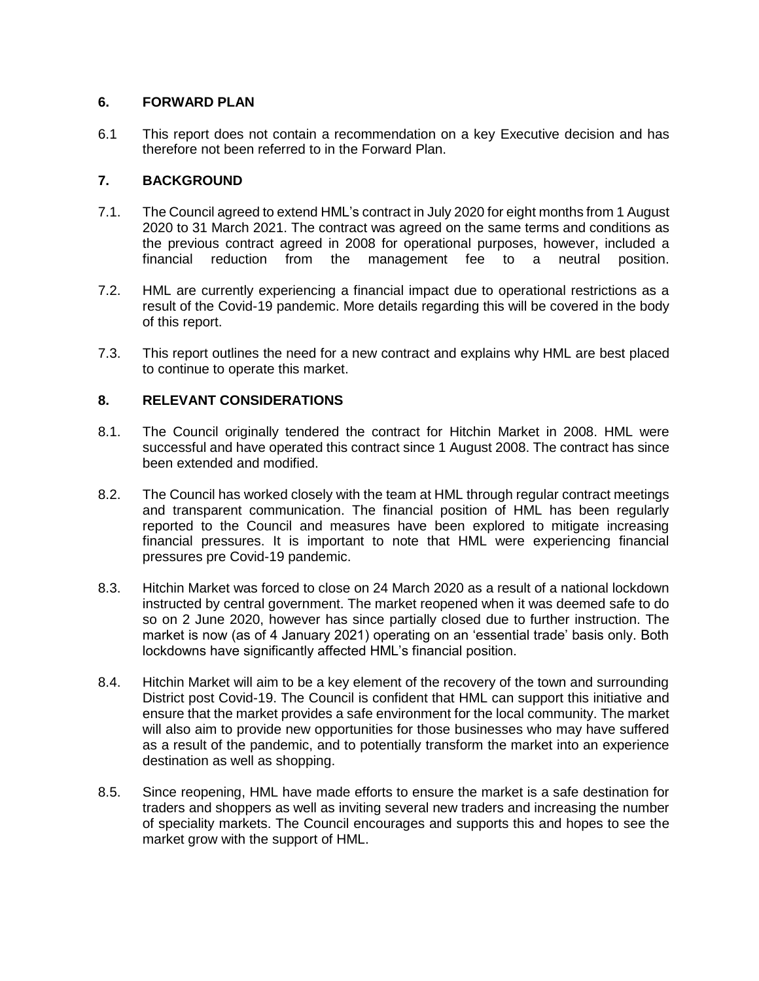# **6. FORWARD PLAN**

6.1 This report does not contain a recommendation on a key Executive decision and has therefore not been referred to in the Forward Plan.

# **7. BACKGROUND**

- 7.1. The Council agreed to extend HML's contract in July 2020 for eight months from 1 August 2020 to 31 March 2021. The contract was agreed on the same terms and conditions as the previous contract agreed in 2008 for operational purposes, however, included a financial reduction from the management fee to a neutral position.
- 7.2. HML are currently experiencing a financial impact due to operational restrictions as a result of the Covid-19 pandemic. More details regarding this will be covered in the body of this report.
- 7.3. This report outlines the need for a new contract and explains why HML are best placed to continue to operate this market.

## **8. RELEVANT CONSIDERATIONS**

- 8.1. The Council originally tendered the contract for Hitchin Market in 2008. HML were successful and have operated this contract since 1 August 2008. The contract has since been extended and modified.
- 8.2. The Council has worked closely with the team at HML through regular contract meetings and transparent communication. The financial position of HML has been regularly reported to the Council and measures have been explored to mitigate increasing financial pressures. It is important to note that HML were experiencing financial pressures pre Covid-19 pandemic.
- 8.3. Hitchin Market was forced to close on 24 March 2020 as a result of a national lockdown instructed by central government. The market reopened when it was deemed safe to do so on 2 June 2020, however has since partially closed due to further instruction. The market is now (as of 4 January 2021) operating on an 'essential trade' basis only. Both lockdowns have significantly affected HML's financial position.
- 8.4. Hitchin Market will aim to be a key element of the recovery of the town and surrounding District post Covid-19. The Council is confident that HML can support this initiative and ensure that the market provides a safe environment for the local community. The market will also aim to provide new opportunities for those businesses who may have suffered as a result of the pandemic, and to potentially transform the market into an experience destination as well as shopping.
- 8.5. Since reopening, HML have made efforts to ensure the market is a safe destination for traders and shoppers as well as inviting several new traders and increasing the number of speciality markets. The Council encourages and supports this and hopes to see the market grow with the support of HML.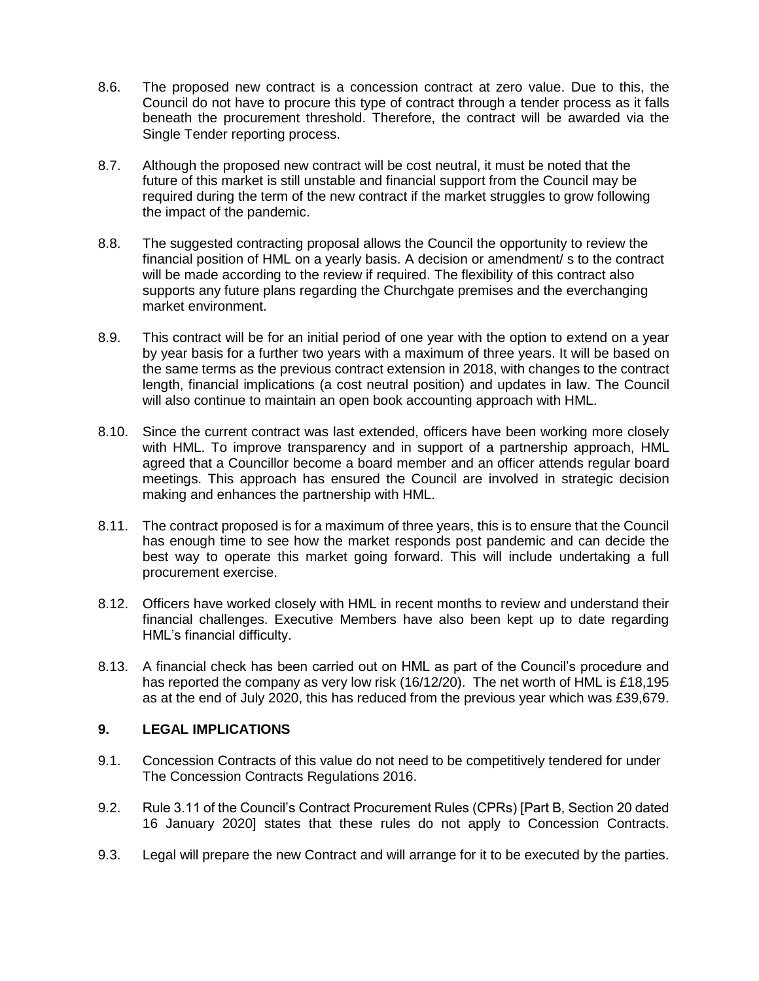- 8.6. The proposed new contract is a concession contract at zero value. Due to this, the Council do not have to procure this type of contract through a tender process as it falls beneath the procurement threshold. Therefore, the contract will be awarded via the Single Tender reporting process.
- 8.7. Although the proposed new contract will be cost neutral, it must be noted that the future of this market is still unstable and financial support from the Council may be required during the term of the new contract if the market struggles to grow following the impact of the pandemic.
- 8.8. The suggested contracting proposal allows the Council the opportunity to review the financial position of HML on a yearly basis. A decision or amendment/ s to the contract will be made according to the review if required. The flexibility of this contract also supports any future plans regarding the Churchgate premises and the everchanging market environment.
- 8.9. This contract will be for an initial period of one year with the option to extend on a year by year basis for a further two years with a maximum of three years. It will be based on the same terms as the previous contract extension in 2018, with changes to the contract length, financial implications (a cost neutral position) and updates in law. The Council will also continue to maintain an open book accounting approach with HML.
- 8.10. Since the current contract was last extended, officers have been working more closely with HML. To improve transparency and in support of a partnership approach, HML agreed that a Councillor become a board member and an officer attends regular board meetings. This approach has ensured the Council are involved in strategic decision making and enhances the partnership with HML.
- 8.11. The contract proposed is for a maximum of three years, this is to ensure that the Council has enough time to see how the market responds post pandemic and can decide the best way to operate this market going forward. This will include undertaking a full procurement exercise.
- 8.12. Officers have worked closely with HML in recent months to review and understand their financial challenges. Executive Members have also been kept up to date regarding HML's financial difficulty.
- 8.13. A financial check has been carried out on HML as part of the Council's procedure and has reported the company as very low risk (16/12/20). The net worth of HML is £18,195 as at the end of July 2020, this has reduced from the previous year which was £39,679.

## **9. LEGAL IMPLICATIONS**

- 9.1. Concession Contracts of this value do not need to be competitively tendered for under The Concession Contracts Regulations 2016.
- 9.2. Rule 3.11 of the Council's Contract Procurement Rules (CPRs) [Part B, Section 20 dated 16 January 2020] states that these rules do not apply to Concession Contracts.
- 9.3. Legal will prepare the new Contract and will arrange for it to be executed by the parties.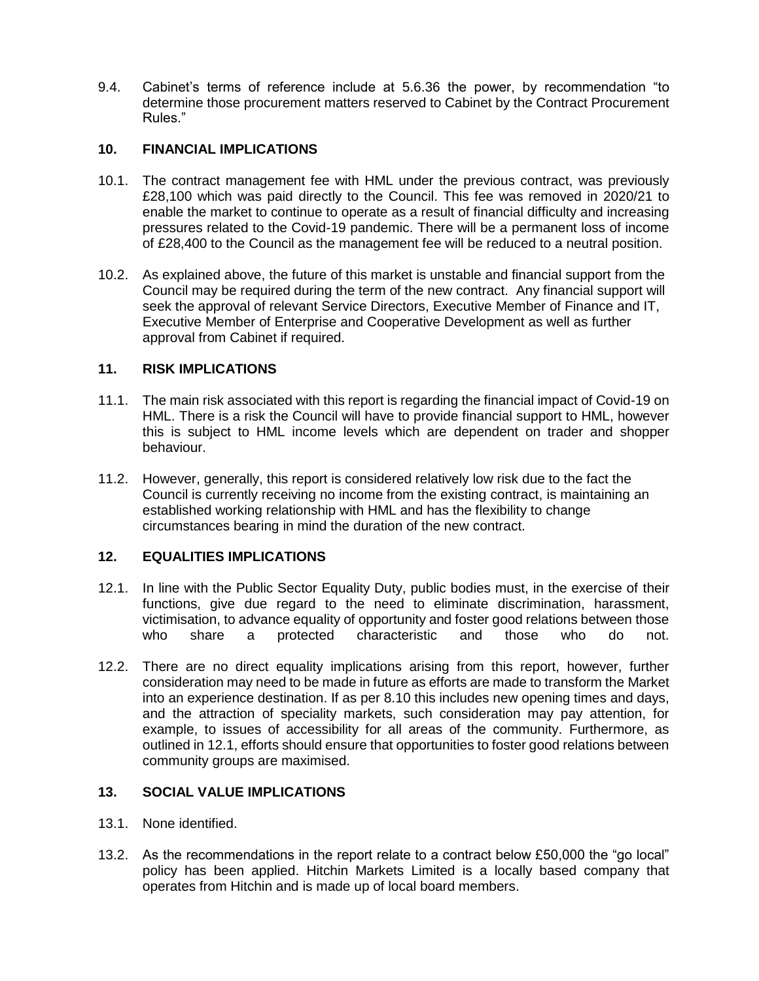9.4. Cabinet's terms of reference include at 5.6.36 the power, by recommendation "to determine those procurement matters reserved to Cabinet by the Contract Procurement Rules."

## **10. FINANCIAL IMPLICATIONS**

- 10.1. The contract management fee with HML under the previous contract, was previously £28,100 which was paid directly to the Council. This fee was removed in 2020/21 to enable the market to continue to operate as a result of financial difficulty and increasing pressures related to the Covid-19 pandemic. There will be a permanent loss of income of £28,400 to the Council as the management fee will be reduced to a neutral position.
- 10.2. As explained above, the future of this market is unstable and financial support from the Council may be required during the term of the new contract. Any financial support will seek the approval of relevant Service Directors, Executive Member of Finance and IT, Executive Member of Enterprise and Cooperative Development as well as further approval from Cabinet if required.

# **11. RISK IMPLICATIONS**

- 11.1. The main risk associated with this report is regarding the financial impact of Covid-19 on HML. There is a risk the Council will have to provide financial support to HML, however this is subject to HML income levels which are dependent on trader and shopper behaviour.
- 11.2. However, generally, this report is considered relatively low risk due to the fact the Council is currently receiving no income from the existing contract, is maintaining an established working relationship with HML and has the flexibility to change circumstances bearing in mind the duration of the new contract.

## **12. EQUALITIES IMPLICATIONS**

- 12.1. In line with the Public Sector Equality Duty, public bodies must, in the exercise of their functions, give due regard to the need to eliminate discrimination, harassment, victimisation, to advance equality of opportunity and foster good relations between those who share a protected characteristic and those who do not.
- 12.2. There are no direct equality implications arising from this report, however, further consideration may need to be made in future as efforts are made to transform the Market into an experience destination. If as per 8.10 this includes new opening times and days, and the attraction of speciality markets, such consideration may pay attention, for example, to issues of accessibility for all areas of the community. Furthermore, as outlined in 12.1, efforts should ensure that opportunities to foster good relations between community groups are maximised.

## **13. SOCIAL VALUE IMPLICATIONS**

- 13.1. None identified.
- 13.2. As the recommendations in the report relate to a contract below £50,000 the "go local" policy has been applied. Hitchin Markets Limited is a locally based company that operates from Hitchin and is made up of local board members.